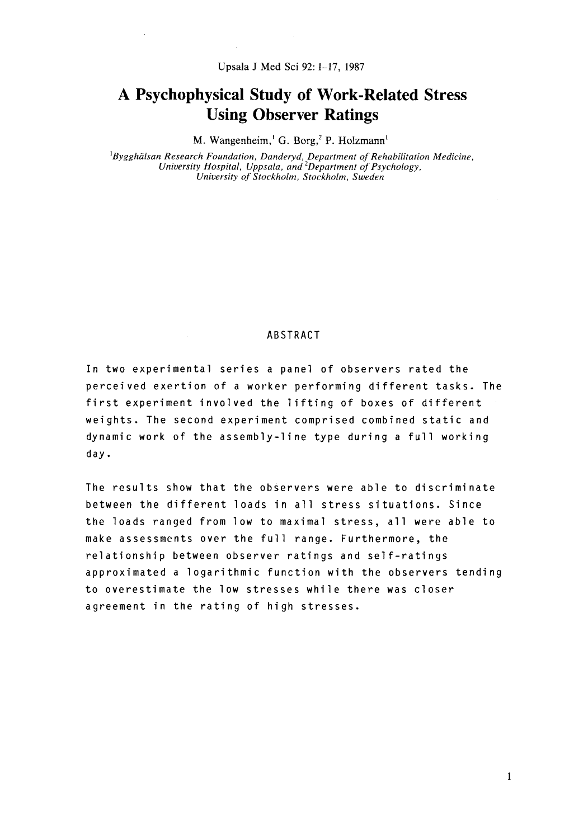# **A Psychophysical Study of Work-Related Stress Using Observer Ratings**

M. Wangenheim,<sup>1</sup> G. Borg,<sup>2</sup> P. Holzmann<sup>1</sup>

*'Bygghulsan Research Foundation, Danderyd, Department of Rehabilitation Medicine, University Hospital, Uppsala, and 'Department of Psychology, University of Stockholm, Stockholm, Sweden* 

# ABSTRACT

In two experimental series a panel of observers rated the perceived exertion of a worker performing different tasks. The first experiment involved the lifting of boxes of different weights. The second experiment comprised combined static and dynamic work of the assembly-line type during a full working day.

The results show that the observers were able to discriminate between the different loads in all stress situations. Since the loads ranged from low to maximal stress, all were able to make assessments over the full range. Furthermore, the relationship between observer ratings and self-ratings approximated a logarithmic function with the observers tending to overestimate the low stresses while there was closer agreement in the rating of high stresses.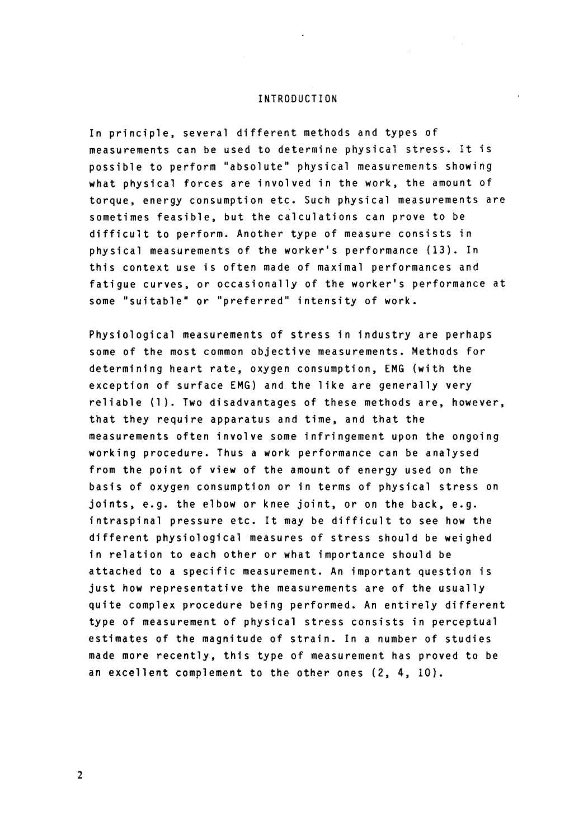#### INTRODUCTION

In principle, several different methods and types of measurements can be used to determine physical stress. **It** is possible to perform "absolute" physical measurements showing what physical forces are involved in the work, the amount of torque, energy consumption etc. Such physical measurements are sometimes feasible, but the calculations can prove to be difficult to perform. Another type of measure consists in physical measurements of the worker's performance **(13).** In this context use is often made of maximal performances and fatigue curves, or occasionally of the worker's performance at some "suitable" or "preferred" intensity of work.

Physiological measurements of stress in industry are perhaps some of the most common objective measurements. Methods for determining heart rate, oxygen consumption, **EMG** (with the exception of surface **EMG)** and the like are generally very reliable (1). Two disadvantages of these methods are, however, that they require apparatus and time, and that the measurements often involve some infringement upon the ongoing working procedure. Thus a work performance can be analysed from the point of view of the amount of energy used on the basis of oxygen consumption or in terms of physical stress on joints, e.g. the elbow or knee joint, or on the back, e.g. intraspinal pressure etc. It may be difficult to see how the different physiological measures of stress should be weighed in relation to each other or what importance should be attached to a specific measurement. An important question is just how representative the measurements are of the usually quite complex procedure being performed. An entirely different type of measurement of physical stress consists in perceptual estimates of the magnitude of strain. In a number of studies made more recently, this type of measurement has proved to be an excellent complement to the other ones (2, 4, 10).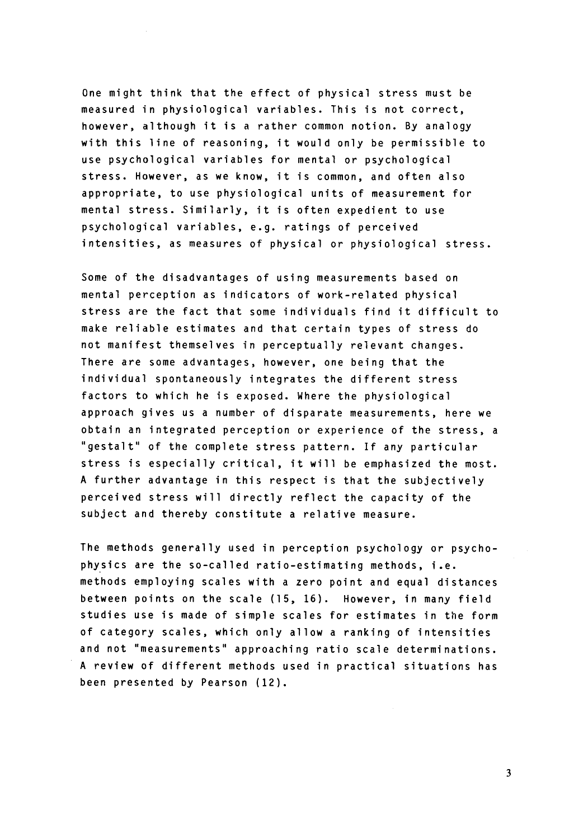One might think that the effect of physical stress must be measured in physiological variables. This is not correct, however, although it is a rather common notion. By analogy with this line of reasoning, it would only be permissible to use psychological variables for mental or psychological stress. However, as we know, it is common, and often also appropriate, to use physiological units of measurement for mental stress. Similarly, it is often expedient to use psychological variables, e.g. ratings of perceived intensities, as measures of physical or physiological stress.

Some of the disadvantages of using measurements based on mental perception as indicators of work-related physical stress are the fact that some individuals find it difficult to make reliable estimates and that certain types of stress do not manifest themselves in perceptually relevant changes. There are some advantages, however, one being that the individual spontaneously integrates the different stress factors to which he **is** exposed. Where the physiological approach gives us a number of disparate measurements, here we obtain an integrated perception or experience of the stress, a "gestalt" of the complete stress pattern. If any particular stress is especially critical, it will be emphasized the most. **A** further advantage in this respect is that the subjectively perceived stress will directly reflect the capacity of the subject and thereby constitute a relative measure.

The methods generally used in perception psychology or psychophysics are the so-called ratio-estimating methods, i.e. methods employing scales with a zero point and equal distances between points on the scale (15, **16).** However, in many field studies use is made of simple scales for estimates in the form of category scales, which only allow a ranking of intensities and not "measurements" approaching ratio scale determinations. **A** review of different methods used in practical situations has been presented by Pearson (12).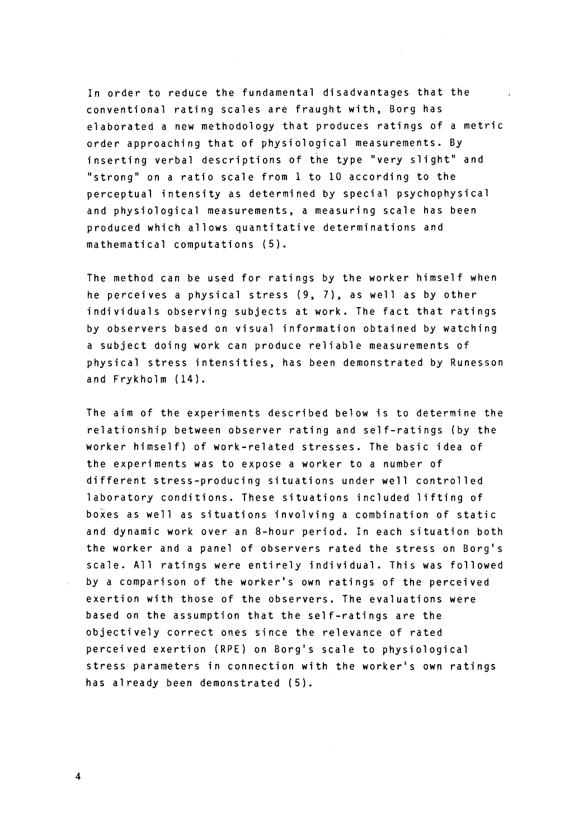In order to reduce the fundamental disadvantages that the conventional rating scales are fraught with, Borg has elaborated a new methodology that produces ratings of a metric order approaching that of physiological measurements. By inserting verbal descriptions of the type "very slight" and "strong" on a ratio scale from 1 to 10 according to the perceptual intensity as determined by special psychophysical and physiological measurements, a measuring scale has been produced which a1 lows quantitative determinations and mathematical computations **(5).** 

The method can be used for ratings by the worker himself when he perceives a physical stress (9, 7), as well as by other individuals observing subjects at work. The fact that ratings by observers based on visual information obtained by watching a subject doing work can produce reliable measurements of physical stress intensities, has been demonstrated by Runesson and Frykholm **(14).** 

The aim of the experiments described below is to determine the relationship between observer rating and self-ratings (by the worker himself) of work-related stresses. The basic idea of the experiments was to expose a worker to a number of different stress-producing situations under well controlled laboratory conditions. These situations included lifting of boxes as well as situations involving a combination of static and dynamic work over an 8-hour period. In each situation both the worker and a panel of observers rated the stress on Borg's scale. All ratings were entirely individual. This was followed by a comparison of the worker's own ratings of the perceived exertion with those of the observers. The evaluations were based on the assumption that the self-ratings are the objectively correct ones since the relevance of rated perceived exertion **(RPE)** on Borg's scale to physiological stress parameters in connection with the worker's own ratings has a1 ready been demonstrated **(5).**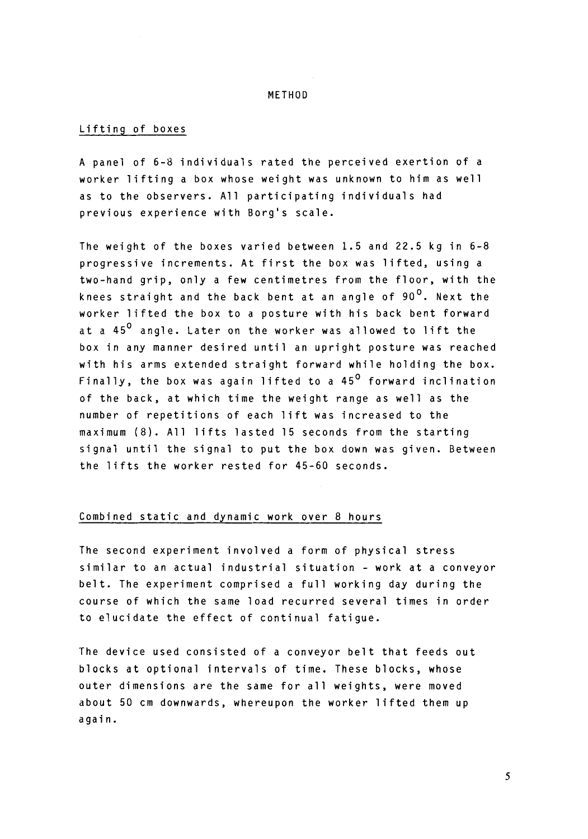## METHOD

# Lifting of boxes

A panel of 6-8 individuals rated the perceived exertion of a worker lifting a box whose weight was unknown to him as well as to the observers. All participating individuals had previous experience with Borg's scale.

The weight of the boxes varied between 1.5 and 22.5 kg in 6-8 progressive increments. At first the box was lifted, using a two-hand grip, only a few centimetres from the floor, with the knees straight and the back bent at an angle of 90<sup>0</sup>. Next the worker lifted the box to a posture with his back bent forward at a 45<sup>0</sup> angle. Later on the worker was allowed to lift the box in any manner desired until an upright posture was reached with his arms extended straight forward while holding the box. Finally, the box was again lifted to a 45 $^{\sf o}$  forward inclination of the back, at which time the weight range as well as the number of repetitions of each lift was increased to the maximum (8). All lifts lasted 15 seconds from the starting signal until the signal to put the box down was given. Between the lifts the worker rested for 45-60 seconds.

# Combined static and dynamic work over 8 hours

The second experiment involved a form of physical stress similar to an actual industrial situation - work at a conveyor belt. The experiment comprised a full working day during the course of which the same load recurred several times in order to elucidate the effect of continual fatigue.

The device used consisted of a conveyor belt that feeds out blocks at optional intervals of time. These blocks, whose outer dimensions are the same for all weights, were moved about 50 cm downwards, whereupon the worker lifted them up again.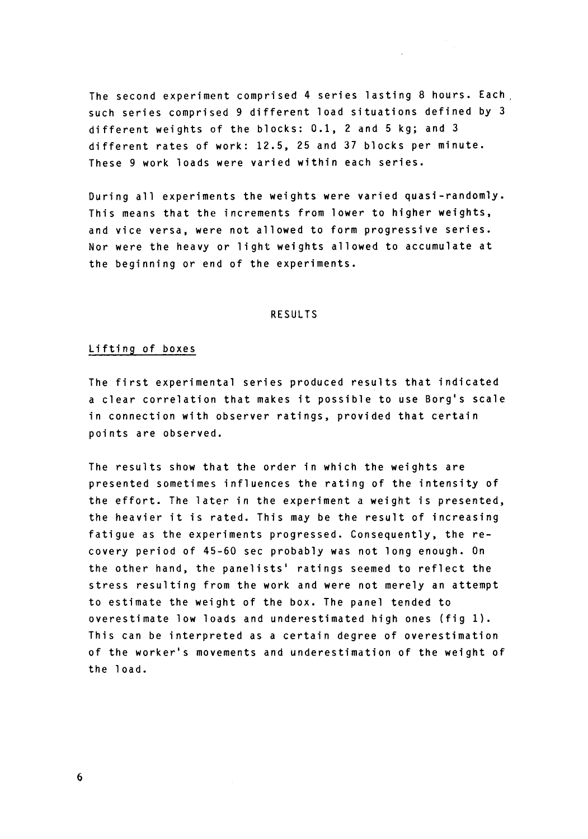The second experiment comprised 4 series lasting 8 hours. Each, such series comprised 9 different load situations defined by 3 different weights of the blocks: 0.1, 2 and 5 kg; and 3 different rates of work: 12.5, 25 and 37 blocks per minute. These 9 work loads were varied within each series.

During all experiments the weights were varied quasi-randomly. This means that the increments from lower to higher weights, and vice versa, were not allowed to form progressive series. Nor were the heavy or light weights allowed to accumulate at the beginning or end of the experiments.

## RESULTS

# Lifting of boxes

The first experimental series produced results that indicated a clear correlation that makes it possible to use Borg's scale in connection with observer ratings, provided that certain points are observed.

The results show that the order in which the weights are presented sometimes influences the rating of the intensity of the effort. The later in the experiment a weight is presented, the heavier it is rated. This may be the result of increasing fatigue as the experiments progressed. Consequently, the recovery period of 45-60 sec probably was not long enough. On the other hand, the panelists' ratings seemed to reflect the stress resulting from the work and were not merely an attempt to estimate the weight of the box. The panel tended to overestimate low loads and underestimated high ones (fig **1).**  This can be interpreted as a certain degree of overestimation of the worker's movements and underestimation of the weight of the load.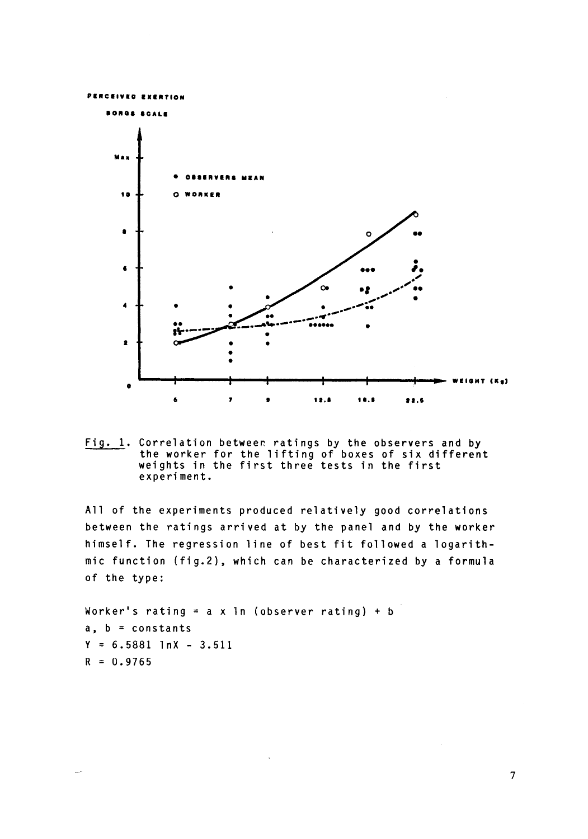

Fig. 1. Correlation between ratings by the observers and by the worker for the lifting of boxes of six different<br>weights in the first three tests in the first experiment.

All of the experiments produced relatively good correlations between the ratings arrived at by the panel and by the worker himself. The regression line of best fit followed a logarithmic function (fig.2), which can be characterized by a formula of the type:

Worker's rating =  $a \times 1n$  (observer rating) + b  $a, b = constants$  $Y = 6.5881$   $1nX - 3.511$  $R = 0.9765$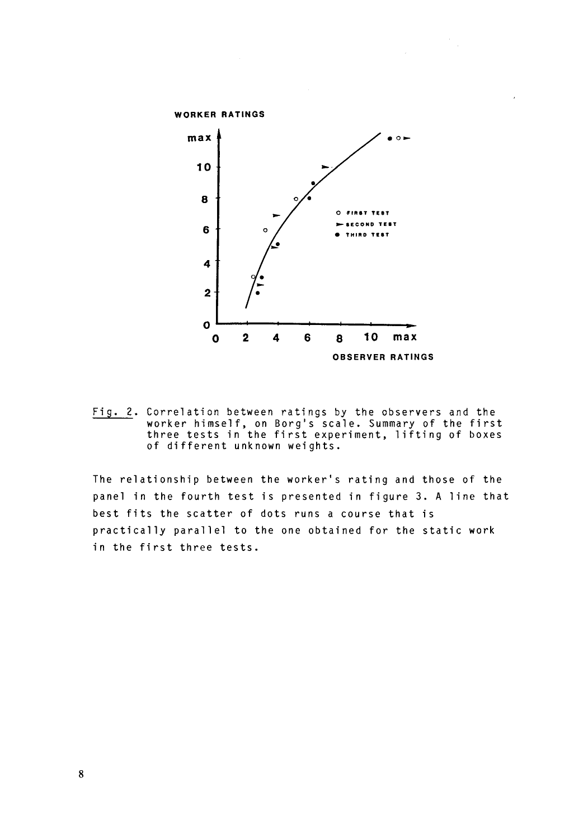

Fig. 2. Correlation between ratings by the observers and the worker himself, on Borg's scale. Summary of the first<br>three tests in the first experiment, lifting of boxes of different unknown weights.

The relationship between the worker's rating and those of the panel in the fourth test is presented in figure 3. A line that best fits the scatter of dots runs a course that is practically parallel to the one obtained for the static work in the first three tests.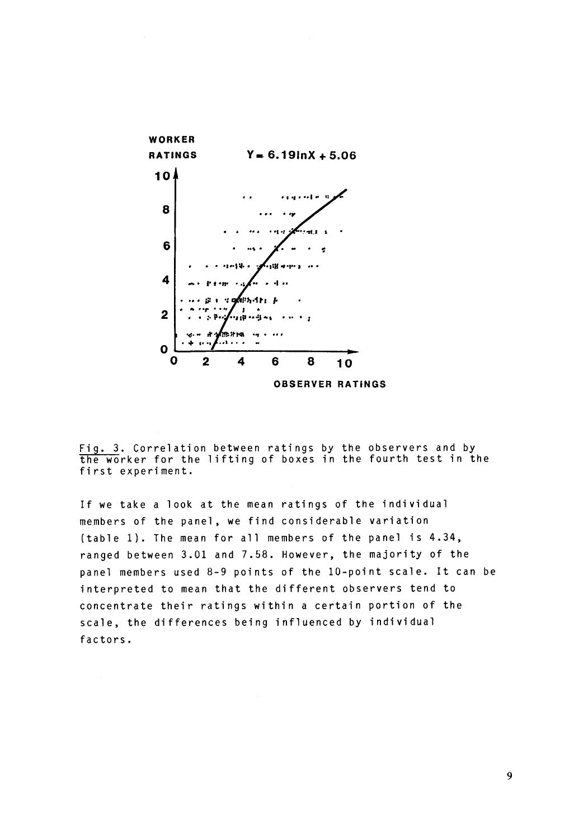

Fig. 3. Correlation between ratings by the observers and by the worker for the lifting of boxes in the fourth test in the first experiment.

If we take a look at the mean ratings of the individual members of the panel, we find considerable variation (table 1). The mean for all members of the panel is 4.34, ranged between 3.01 and 7.58. However, the majority of the panel members used 8-9 points of the 10-point scale. It can be interpreted to mean that the different observers tend to concentrate their ratings within a certain portion of the scale, the differences being influenced by individual factors.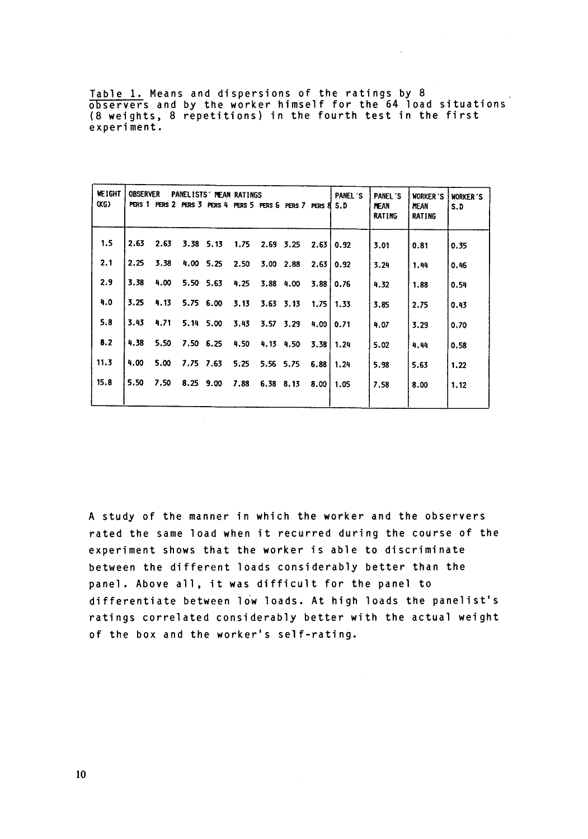Table 1. Means and dispersions of the ratings by 8 observers and by the worker himself for the 64 load situations (8 weights, 8 repetitions) in the fourth test in the first<br>experiment.<br>HELGHT OBSERVER PANELLISTS MEAN RATINGS<br>HELGHT OBSERVER PANELLISTS MEAN RATINGS<br>HELGHT OBSERVER PANELLISTS MEAN RATINGS experiment.

 $\sim$ 

| <b>WEIGHT</b><br>(KG) | <b>OBSERVER</b> | PERS 1 PERS 2 PERS 3 PERS 4 PERS 5 PERS 6 PERS 7 PERS 8 |           | PANELISTS' MEAN RATINGS |      |               |           |      | <b>PANEL 'S</b><br>S.D | PANFI <sup>'S</sup><br><b>MEAN</b><br><b>RATING</b> | <b>WORKER 'S</b><br><b>MEAN</b><br><b>RATING</b> | <b>WORKER'S</b><br>S.D |
|-----------------------|-----------------|---------------------------------------------------------|-----------|-------------------------|------|---------------|-----------|------|------------------------|-----------------------------------------------------|--------------------------------------------------|------------------------|
| 1.5                   | 2.63            | 2.63                                                    | 3.38 5.13 |                         | 1.75 | 2.69 3.25     |           | 2.63 | 0.92                   | 3.01                                                | 0.81                                             | 0.35                   |
| 2.1                   | 2.25            | 3.38                                                    | 4.00 5.25 |                         | 2.50 | 3.00 2.88     |           | 2.63 | 0.92                   | 3.24                                                | 1.44                                             | 0.46                   |
| 2.9                   | 3.38            | 4.00                                                    | 5.50 5.63 |                         | 4.25 | 3.88 4.00     |           | 3.88 | 0.76                   | 4.32                                                | 1.88                                             | 0.54                   |
| 4.0                   | 3.25            | 4.13                                                    | 5.75 6.00 |                         | 3.13 | $3.63$ $3.13$ |           |      | $1.75$   $1.33$        | 3.85                                                | 2.75                                             | 0.43                   |
| 5.8                   | 3.43            | 4.71                                                    | 5.14 5.00 |                         | 3.43 | 3.57 3.29     |           | 4.00 | 0.71                   | 4.07                                                | 3.29                                             | 0.70                   |
| 8.2                   | 4.38            | 5.50                                                    | 7.50 6.25 |                         | 4.50 |               | 4.13 4.50 | 3.38 | 1.24                   | 5.02                                                | 4.44                                             | 0.58                   |
| 11.3                  | 4.00            | 5.00                                                    | 7.75 7.63 |                         | 5.25 | 5.56 5.75     |           | 6.88 | 1.24                   | 5.98                                                | 5.63                                             | 1.22                   |
| 15.8                  | 5.50            | 7.50                                                    | 8.25 9.00 |                         | 7.88 | 6.38 8.13     |           | 8.00 | 1.05                   | 7.58                                                | 8.00                                             | 1.12                   |

A study of the manner in which the worker and the observers rated the same load when it recurred during the course of the experiment shows that the worker is able to discriminate between the different loads considerably better than the panel. Above all, it was difficult for the panel to differentiate between low loads. At high loads the panelist's ratings correlated considerably better with the actual weight of the box and the worker's self-rating.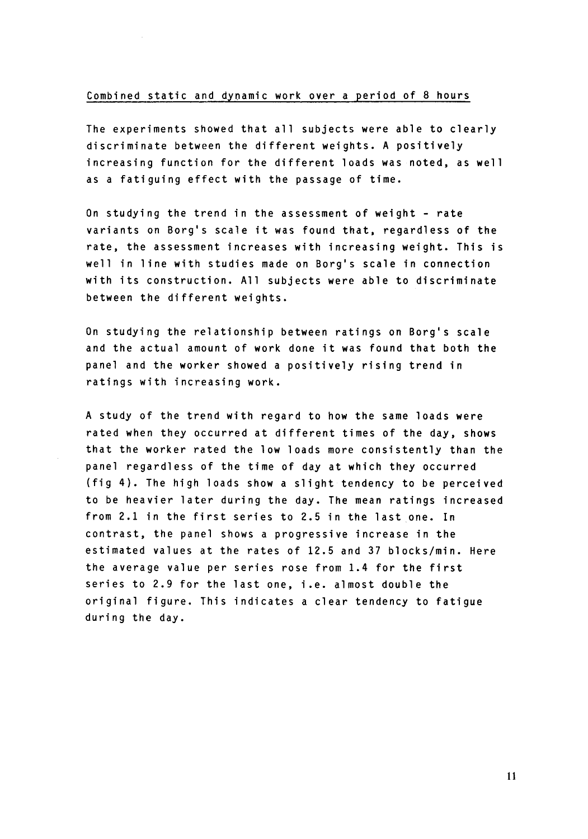# Combined static and dynamic work over a period of 8 hours

The experiments showed that all subjects were able to clearly discriminate between the different weights. A positively increasing function for the different loads was noted, as well as a fatiguing effect with the passage of time.

On studying the trend in the assessment of weight - rate variants on Borg's scale it was found that, regardless of the rate, the assessment increases with increasing weight. This is well in line with studies made on Borg's scale in connection with its construction. All subjects were able to discriminate between the different weights.

On studying the relationship between ratings on Borg's scale and the actual amount of work done it was found that both the panel and the worker showed a positively rising trend in ratings with increasing work.

A study of the trend with regard to how the same loads were rated when they occurred at different times of the day, shows that the worker rated the low loads more consistently than the panel regardless of the time of day at which they occurred (fig 4). The high loads show a slight tendency to be perceived to be heavier later during the day. The mean ratings increased from 2.1 in the first series to 2.5 in the last one. In contrast, the panel shows a progressive increase in the estimated values at the rates of 12.5 and 37 blocks/min. Here the average value per series rose from 1.4 for the first series to 2.9 for the last one, i.e. almost double the original figure. This indicates a clear tendency to fatigue during the day.

**11**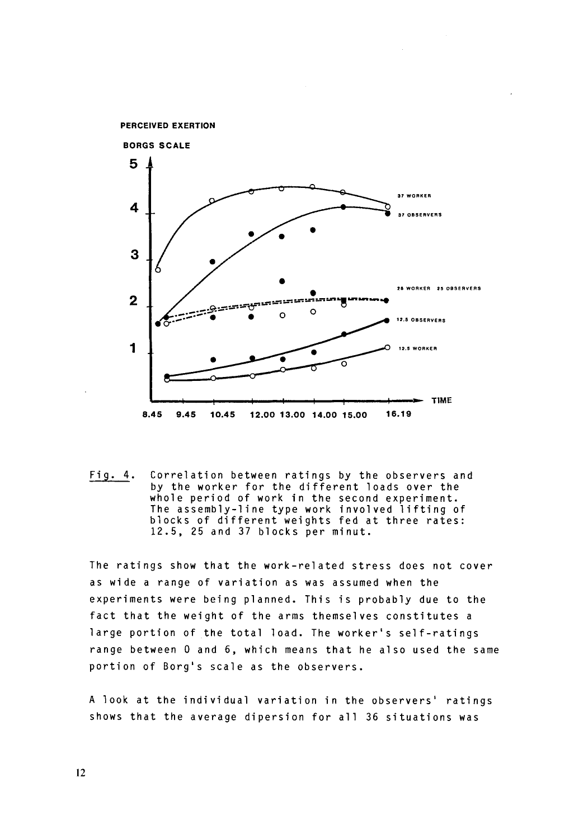

Fig. 4. Correlation between ratings by the observers and by the worker for the different loads over the whole period of work in the second experiment. The assembly-line type work involved lifting of blocks of different weights fed at three rates: 12.5, 25 and 37 blocks per minut.

The ratings show that the work-related stress does not cover as wide a range of variation as was assumed when the experiments were being planned. This is probably due to the fact that the weight of the arms themselves constitutes a large portion of the total load. The worker's self-ratings range between 0 and 6, which means that he also used the same portion of Borg's scale as the observers.

**A** look at the individual variation in the observers' ratings shows that the average dipersion for all 36 situations was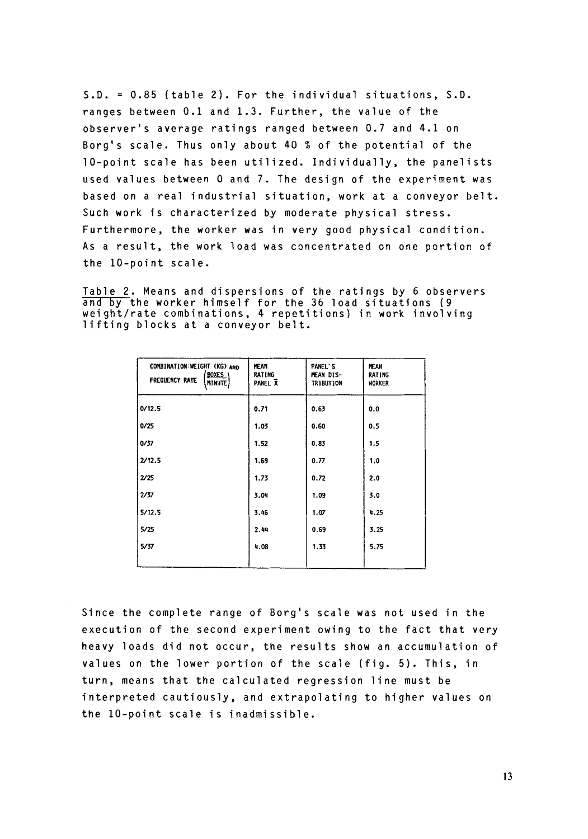**S.D.** = 0.85 (table 2). For the individual situations, **S.D.**  ranges between 0.1 and 1.3. Further, the value of the observer's average ratings ranged between 0.7 and 4.1 on Borg's scale. Thus only about 40 % of the potential of the 10-point scale has been utilized. Individually, the panelists used values between 0 and 7. The design of the experiment was based on a real industrial situation, work at a conveyor belt. Such work is characterized by moderate physical stress. Furthermore, the worker was in very good physical condition. **As** a result, the work load was concentrated on one portion of the 10-point scale.

Table 2. Means and dispersions of the ratings by 6 observers and by the worker himself for the 36 load situations **(9**  lable 2. Means and dispersions of the ratings by 6 observer<br>and by the worker himself for the 36 load situations (9<br>weight/rate combinations, 4 repetitions) in work involving lifting blocks at a conveyor belt.

| COMBINATION: WEIGHT (KG) AND<br><b>BOXES</b><br><b>FREQUENCY RATE</b><br>MINUTE) | <b>HEAN</b><br><b>RATING</b><br>PANEL X | PANEL S<br>MEAN DIS-<br><b>TRIBUTION</b> | <b>MEAN</b><br><b>RATING</b><br>WORKER |
|----------------------------------------------------------------------------------|-----------------------------------------|------------------------------------------|----------------------------------------|
| 0/12.5                                                                           | 0.71                                    | 0.63                                     | 0.0                                    |
| 0/25                                                                             | 1.03                                    | 0.60                                     | 0.5                                    |
| 0/37                                                                             | 1.52                                    | 0.83                                     | 1.5                                    |
| 2/12.5                                                                           | 1,69                                    | 0.77                                     | 1,0                                    |
| 2/25                                                                             | 1,73                                    | 0.72                                     | 2.0                                    |
| 2/37                                                                             | 3.04                                    | 1.09                                     | 3.0                                    |
| 5/12.5                                                                           | 3.46                                    | 1.07                                     | 4.25                                   |
| 5/25                                                                             | 2.44                                    | 0.69                                     | 3.25                                   |
| 5/37                                                                             | 4.08                                    | 1.33                                     | 5.75                                   |
|                                                                                  |                                         |                                          |                                        |

Since the complete range of Borg's scale was not used in the execution of the second experiment owing to the fact that very heavy loads did not occur, the results show an accumulation of values on the lower portion of the scale (fig. **5).** This, in turn, means that the calculated regression line must be interpreted cautiously, and extrapolating to higher values on the 10-point scale is inadmissible.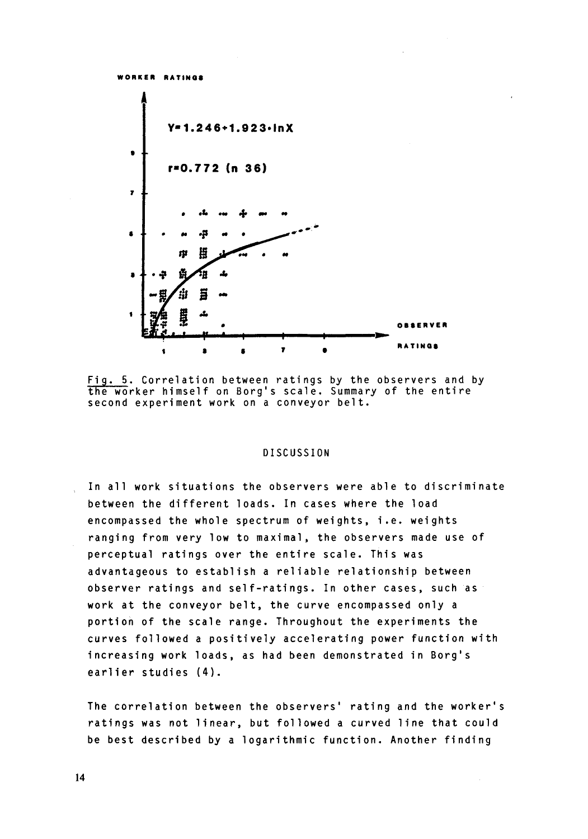**WORKER RATIN00** 



Fig. 5. Correlation between ratings by the observers and by the worker himself on Borg's scale. Summary of the entire second experiment work on a conveyor belt.

#### DISCUSSION

In all work situations the observers were able to discriminate between the different loads. In cases where the load encompassed the whole spectrum of weights, i.e. weights ranging from very low to maximal, the observers made use of perceptual ratings over the entire scale. This was advantageous to establish a reliable relationship between observer ratings and self-ratings. In other cases, such as work at the conveyor belt, the curve encompassed only a portion of the scale range. Throughout the experiments the curves followed a positively accelerating power function with increasing work loads, as had been demonstrated in Borg's earlier studies **(4).** 

The correlation between the observers' rating and the worker's ratings was not linear, but followed a curved line that could be best described by a logarithmic function. Another finding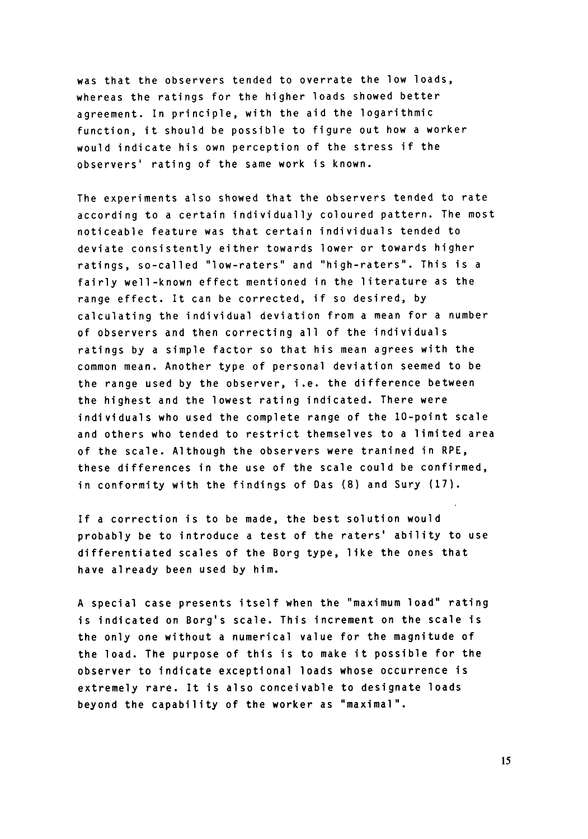was that the observers tended to overrate the low loads, whereas the ratings for the higher loads showed better agreement. In principle, with the aid the logarithmic function, it should be possible to figure out how a worker would indicate his own perception of the stress if the observers' rating of the same work is known.

The experiments also showed that the observers tended to rate according to a certain individually coloured pattern. The most noticeable feature was that certain individuals tended to deviate consistently either towards lower or towards higher ratings, so-called "low-raters" and "high-raters". This is a fairly well-known effect mentioned in the literature as the range effect. It can be corrected, if so desired, by calculating the individual deviation from a mean for a number of observers and then correcting all of the individuals ratings by a simple factor so that his mean agrees with the common mean. Another type of personal deviation seemed to be the range used by the observer, i.e. the difference between the highest and the lowest rating indicated. There were individuals who used the complete range of the 10-point scale and others who tended to restrict themselves to a limited area of the scale. Although the observers were tranined in **RPE,**  these differences in the use of the scale could be confirmed, in conformity with the findings of Das *(8)* and Sury (17).

If a correction is to be made, the best solution would probably be to introduce a test of the raters' ability to use differentiated scales of the Borg type, like the ones that have already been used by him.

A special case presents itself when the "maximum load" rating is indicated on Borg's scale. This increment on the scale is the only one without a numerical value for the magnitude of the load. The purpose of this is to make it possible for the observer to indicate exceptional loads whose occurrence is extremely rare. It is also conceivable to designate loads beyond the capability of the worker as "maximal".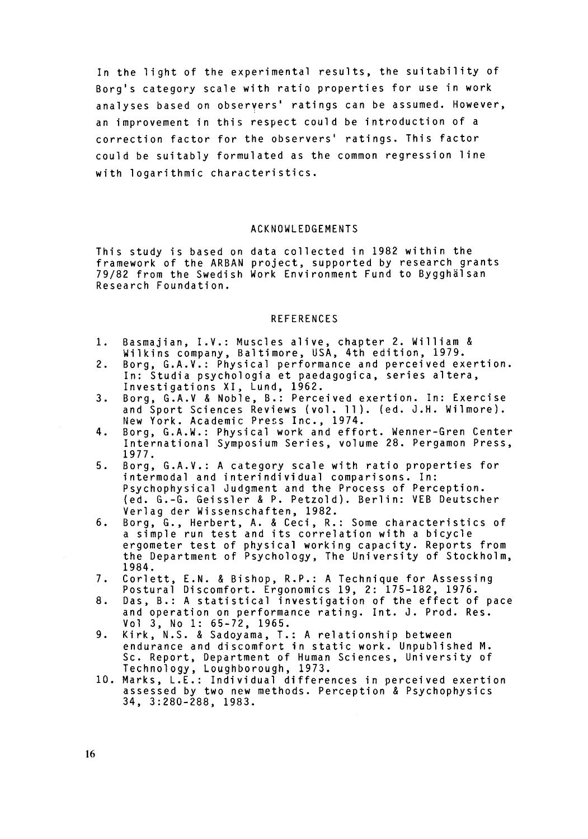In the light of the experimental results, the suitability of Borg's category scale with ratio properties for use in work analyses based on observers' ratings can be assumed. However, an improvement in this respect could be introduction of a correction factor for the observers' ratings. This factor could be suitably formulated as the common regression line with logarithmic characteristics.

## ACKNOWLEDGEMENTS

This study is based on data collected in 1982 within the framework of the ARBAN project, supported by research grants 79/82 from the Swedish Work Environment Fund to Bygghalsan Research Foundation.

## REFERENCES

- 1. Basmajian, I.V.: Muscles alive, chapter 2. William & Wilkins company, Baltimore, USA, 4th edition, 1979.
- 2. Borg, G.A.V.: Physical performance and perceived exertion. In: Studia psychologia et paedagogica, series altera, Investigations XI, Lund, 1962.
- 3. Borg, G.A.V & Noble, 6.: Perceived exertion. In: Exercise and Sport Sciences Reviews (vol. 11). (ed. J.H. Wilmore). New York. Academic Press Inc., 1974.
- 4. Borg, G.A.W.: Physical work and effort. Wenner-Gren Center International Symposium Series, volume 28. Pergamon Press, 1977.
- **5.**  Borg, G.A.V.: A category scale with ratio properties for intermodal and interindividual comparisons. In: Psychophysical Judgment and the Process of Perception. Ied. G.-G. Geissler & P. Petzold). Berlin: VEB Deutscher Verlag der Wissenschaften, 1982.
- 6. Borg, G., Herbert, A. & Ceci, R.: Some characteristics of a simple run test and its correlation with a bicycle ergometer test of physical working capacity. Reports from the Department of Psychology, The University of Stockholm, 1984.
- 7. Corlett, E.N. & Bishop, R.P.: A Technique for Assessing Postural Discomfort. Ergonomics 19, 2: 175-182, 1976.
- 8. Das, B.: A statistical investigation of the effect of pace and operation on performance rating. Int. **J.** Prod. Res. Yo1 3, **NO** 1: 65-72, 1965.
- 9. Kirk, **N.S.** & Sadoyama, T.: A relationship between endurance and discomfort in static work. Unpublished **M.**  Sc. Report, Department of Human Sciences, University of Technology, Loughborough, 1973.
- 10. Marks, L.E.: Individual differences in perceived exertion assessed by two new methods. Perception & Psychophysics 34, 3:280-288, 1983.